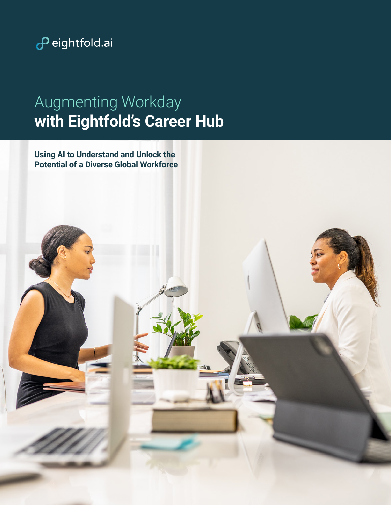

# Augmenting Workday **with Eightfold's Career Hub**

**Using AI to Understand and Unlock the Potential of a Diverse Global Workforce**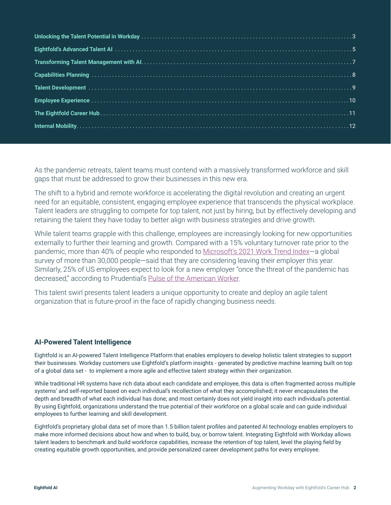As the pandemic retreats, talent teams must contend with a massively transformed workforce and skill gaps that must be addressed to grow their businesses in this new era.

The shift to a hybrid and remote workforce is accelerating the digital revolution and creating an urgent need for an equitable, consistent, engaging employee experience that transcends the physical workplace. Talent leaders are struggling to compete for top talent, not just by hiring, but by effectively developing and retaining the talent they have today to better align with business strategies and drive growth.

While talent teams grapple with this challenge, employees are increasingly looking for new opportunities externally to further their learning and growth. Compared with a 15% voluntary turnover rate prior to the pandemic, more than 40% of people who responded to Microsoft's 2021 Work Trend Index-a global survey of more than 30,000 people—said that they are considering leaving their employer this year. Similarly, 25% of US employees expect to look for a new employer "once the threat of the pandemic has decreased," according to Prudential's Pulse of the American Worker.

This talent swirl presents talent leaders a unique opportunity to create and deploy an agile talent organization that is future-proof in the face of rapidly changing business needs.

#### **AI-Powered Talent Intelligence**

Eightfold is an AI-powered Talent Intelligence Platform that enables employers to develop holistic talent strategies to support their businesses. Workday customers use Eightfold's platform insights - generated by predictive machine learning built on top of a global data set - to implement a more agile and effective talent strategy within their organization.

While traditional HR systems have rich data about each candidate and employee, this data is often fragmented across multiple systems' and self-reported based on each individual's recollection of what they accomplished; it never encapsulates the depth and breadth of what each individual has done; and most certainly does not yield insight into each individual's potential. By using Eightfold, organizations understand the true potential of their workforce on a global scale and can guide individual employees to further learning and skill development.

Eightfold's proprietary global data set of more than 1.5 billion talent profiles and patented AI technology enables employers to make more informed decisions about how and when to build, buy, or borrow talent. Integrating Eightfold with Workday allows talent leaders to benchmark and build workforce capabilities, increase the retention of top talent, level the playing field by creating equitable growth opportunities, and provide personalized career development paths for every employee.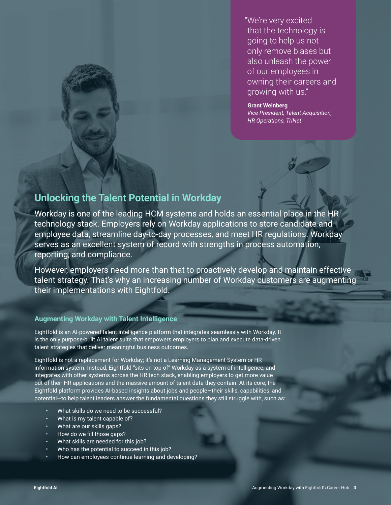"We're very excited that the technology is going to help us not only remove biases but also unleash the power of our employees in owning their careers and growing with us."

**Grant Weinberg**  *Vice President, Talent Acquisition, HR Operations, TriNet*

### **Unlocking the Talent Potential in Workday**

Workday is one of the leading HCM systems and holds an essential place in the HR technology stack. Employers rely on Workday applications to store candidate and employee data, streamline day-to-day processes, and meet HR regulations. Workday serves as an excellent system of record with strengths in process automation, reporting, and compliance.

However, employers need more than that to proactively develop and maintain effective talent strategy. That's why an increasing number of Workday customers are augmenting their implementations with Eightfold.

#### **Augmenting Workday with Talent Intelligence**

Eightfold is an AI-powered talent intelligence platform that integrates seamlessly with Workday. It is the only purpose-built AI talent suite that empowers employers to plan and execute data-driven talent strategies that deliver meaningful business outcomes.

Eightfold is not a replacement for Workday; it's not a Learning Management System or HR information system. Instead, Eightfold "sits on top of" Workday as a system of intelligence, and integrates with other systems across the HR tech stack, enabling employers to get more value out of their HR applications and the massive amount of talent data they contain. At its core, the Eightfold platform provides AI-based insights about jobs and people—their skills, capabilities, and potential—to help talent leaders answer the fundamental questions they still struggle with, such as:

- What skills do we need to be successful?
- What is my talent capable of?
- What are our skills gaps?
- How do we fill those gaps?
- What skills are needed for this job?
- Who has the potential to succeed in this job?
- How can employees continue learning and developing?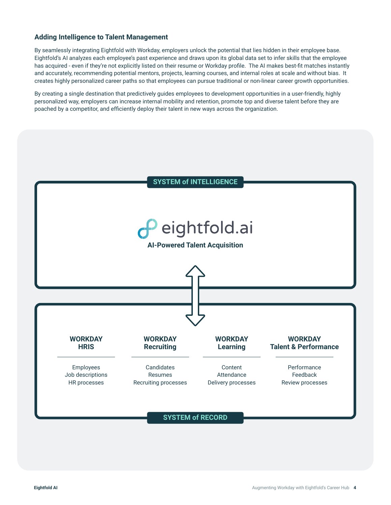#### **Adding Intelligence to Talent Management**

By seamlessly integrating Eightfold with Workday, employers unlock the potential that lies hidden in their employee base. Eightfold's AI analyzes each employee's past experience and draws upon its global data set to infer skills that the employee has acquired - even if they're not explicitly listed on their resume or Workday profile. The AI makes best-fit matches instantly and accurately, recommending potential mentors, projects, learning courses, and internal roles at scale and without bias. It creates highly personalized career paths so that employees can pursue traditional or non-linear career growth opportunities.

By creating a single destination that predictively guides employees to development opportunities in a user-friendly, highly personalized way, employers can increase internal mobility and retention, promote top and diverse talent before they are poached by a competitor, and efficiently deploy their talent in new ways across the organization.

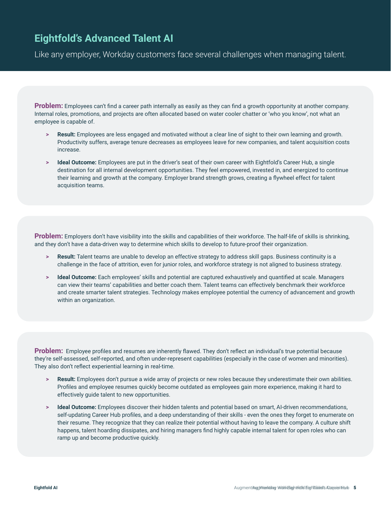### **Eightfold's Advanced Talent AI**

Like any employer, Workday customers face several challenges when managing talent.

**Problem:** Employees can't find a career path internally as easily as they can find a growth opportunity at another company. Internal roles, promotions, and projects are often allocated based on water cooler chatter or 'who you know', not what an employee is capable of.

- **> Result:** Employees are less engaged and motivated without a clear line of sight to their own learning and growth. Productivity suffers, average tenure decreases as employees leave for new companies, and talent acquisition costs increase.
- **> Ideal Outcome:** Employees are put in the driver's seat of their own career with Eightfold's Career Hub, a single destination for all internal development opportunities. They feel empowered, invested in, and energized to continue their learning and growth at the company. Employer brand strength grows, creating a flywheel effect for talent acquisition teams.

**Problem:** Employers don't have visibility into the skills and capabilities of their workforce. The half-life of skills is shrinking, and they don't have a data-driven way to determine which skills to develop to future-proof their organization.

- **> Result:** Talent teams are unable to develop an effective strategy to address skill gaps. Business continuity is a challenge in the face of attrition, even for junior roles, and workforce strategy is not aligned to business strategy.
- **> Ideal Outcome:** Each employees' skills and potential are captured exhaustively and quantified at scale. Managers can view their teams' capabilities and better coach them. Talent teams can effectively benchmark their workforce and create smarter talent strategies. Technology makes employee potential the currency of advancement and growth within an organization.

**Problem:** Employee profiles and resumes are inherently flawed. They don't reflect an individual's true potential because they're self-assessed, self-reported, and often under-represent capabilities (especially in the case of women and minorities). They also don't reflect experiential learning in real-time.

- **> Result:** Employees don't pursue a wide array of projects or new roles because they underestimate their own abilities. Profiles and employee resumes quickly become outdated as employees gain more experience, making it hard to effectively guide talent to new opportunities.
- **> Ideal Outcome:** Employees discover their hidden talents and potential based on smart, AI-driven recommendations, self-updating Career Hub profiles, and a deep understanding of their skills - even the ones they forget to enumerate on their resume. They recognize that they can realize their potential without having to leave the company. A culture shift happens, talent hoarding dissipates, and hiring managers find highly capable internal talent for open roles who can ramp up and become productive quickly.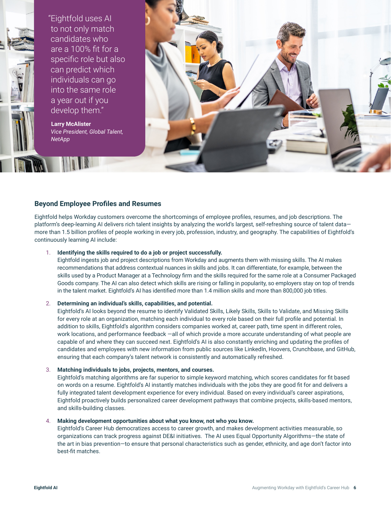

"Eightfold uses AI to not only match candidates who are a 100% fit for a specific role but also can predict which individuals can go into the same role a year out if you develop them."

**Larry McAlister**  *Vice President, Global Talent, NetApp*



#### **Beyond Employee Profiles and Resumes**

Eightfold helps Workday customers overcome the shortcomings of employee profiles, resumes, and job descriptions. The platform's deep-learning AI delivers rich talent insights by analyzing the world's largest, self-refreshing source of talent data more than 1.5 billion profiles of people working in every job, profession, industry, and geography. The capabilities of Eightfold's continuously learning AI include:

#### 1. **Identifying the skills required to do a job or project successfully.**

Eightfold ingests job and project descriptions from Workday and augments them with missing skills. The AI makes recommendations that address contextual nuances in skills and jobs. It can differentiate, for example, between the skills used by a Product Manager at a Technology firm and the skills required for the same role at a Consumer Packaged Goods company. The AI can also detect which skills are rising or falling in popularity, so employers stay on top of trends in the talent market. Eightfold's AI has identified more than 1.4 million skills and more than 800,000 job titles.

#### 2. **Determining an individual's skills, capabilities, and potential.**

Eightfold's AI looks beyond the resume to identify Validated Skills, Likely Skills, Skills to Validate, and Missing Skills for every role at an organization, matching each individual to every role based on their full profile and potential. In addition to skills, Eightfold's algorithm considers companies worked at, career path, time spent in different roles, work locations, and performance feedback —all of which provide a more accurate understanding of what people are capable of and where they can succeed next. Eightfold's AI is also constantly enriching and updating the profiles of candidates and employees with new information from public sources like LinkedIn, Hoovers, Crunchbase, and GitHub, ensuring that each company's talent network is consistently and automatically refreshed.

#### 3. **Matching individuals to jobs, projects, mentors, and courses.**

Eightfold's matching algorithms are far superior to simple keyword matching, which scores candidates for fit based on words on a resume. Eightfold's AI instantly matches individuals with the jobs they are good fit for and delivers a fully integrated talent development experience for every individual. Based on every individual's career aspirations, Eightfold proactively builds personalized career development pathways that combine projects, skills-based mentors, and skills-building classes.

#### 4. **Making development opportunities about what you know, not who you know.**

Eightfold's Career Hub democratizes access to career growth, and makes development activities measurable, so organizations can track progress against DE&I initiatives. The AI uses Equal Opportunity Algorithms—the state of the art in bias prevention—to ensure that personal characteristics such as gender, ethnicity, and age don't factor into best-fit matches.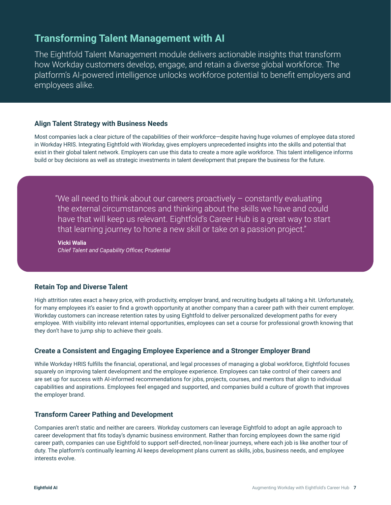### **Transforming Talent Management with AI**

The Eightfold Talent Management module delivers actionable insights that transform how Workday customers develop, engage, and retain a diverse global workforce. The platform's AI-powered intelligence unlocks workforce potential to benefit employers and employees alike.

#### **Align Talent Strategy with Business Needs**

Most companies lack a clear picture of the capabilities of their workforce—despite having huge volumes of employee data stored in Workday HRIS. Integrating Eightfold with Workday, gives employers unprecedented insights into the skills and potential that exist in their global talent network. Employers can use this data to create a more agile workforce. This talent intelligence informs build or buy decisions as well as strategic investments in talent development that prepare the business for the future.

"We all need to think about our careers proactively – constantly evaluating the external circumstances and thinking about the skills we have and could have that will keep us relevant. Eightfold's Career Hub is a great way to start that learning journey to hone a new skill or take on a passion project."

**Vicki Walia**  *Chief Talent and Capability Officer, Prudential*

#### **Retain Top and Diverse Talent**

High attrition rates exact a heavy price, with productivity, employer brand, and recruiting budgets all taking a hit. Unfortunately, for many employees it's easier to find a growth opportunity at another company than a career path with their current employer. Workday customers can increase retention rates by using Eightfold to deliver personalized development paths for every employee. With visibility into relevant internal opportunities, employees can set a course for professional growth knowing that they don't have to jump ship to achieve their goals.

#### **Create a Consistent and Engaging Employee Experience and a Stronger Employer Brand**

While Workday HRIS fulfills the financial, operational, and legal processes of managing a global workforce, Eightfold focuses squarely on improving talent development and the employee experience. Employees can take control of their careers and are set up for success with AI-informed recommendations for jobs, projects, courses, and mentors that align to individual capabilities and aspirations. Employees feel engaged and supported, and companies build a culture of growth that improves the employer brand.

#### **Transform Career Pathing and Development**

Companies aren't static and neither are careers. Workday customers can leverage Eightfold to adopt an agile approach to career development that fits today's dynamic business environment. Rather than forcing employees down the same rigid career path, companies can use Eightfold to support self-directed, non-linear journeys, where each job is like another tour of duty. The platform's continually learning AI keeps development plans current as skills, jobs, business needs, and employee interests evolve.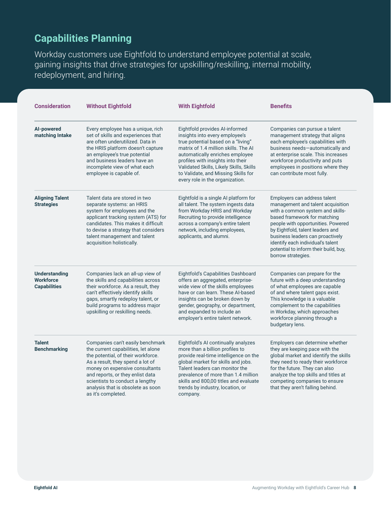## **Capabilities Planning**

Workday customers use Eightfold to understand employee potential at scale, gaining insights that drive strategies for upskilling/reskilling, internal mobility, redeployment, and hiring.

| <b>Consideration</b>                                            | <b>Without Eightfold</b><br><b>With Eightfold</b>                                                                                                                                                                                                                                                                     |                                                                                                                                                                                                                                                                                                                                             | <b>Benefits</b>                                                                                                                                                                                                                                                                                                                                         |  |
|-----------------------------------------------------------------|-----------------------------------------------------------------------------------------------------------------------------------------------------------------------------------------------------------------------------------------------------------------------------------------------------------------------|---------------------------------------------------------------------------------------------------------------------------------------------------------------------------------------------------------------------------------------------------------------------------------------------------------------------------------------------|---------------------------------------------------------------------------------------------------------------------------------------------------------------------------------------------------------------------------------------------------------------------------------------------------------------------------------------------------------|--|
| Al-powered<br>matching Intake                                   | Every employee has a unique, rich<br>set of skills and experiences that<br>are often underutilized. Data in<br>the HRIS platform doesn't capture<br>an employee's true potential<br>and business leaders have an<br>incomplete view of what each<br>employee is capable of.                                           | Eightfold provides AI-informed<br>insights into every employee's<br>true potential based on a "living"<br>matrix of 1.4 million skills. The AI<br>automatically enriches employee<br>profiles with insights into their<br>Validated Skills, Likely Skills, Skills<br>to Validate, and Missing Skills for<br>every role in the organization. | Companies can pursue a talent<br>management strategy that aligns<br>each employee's capabilities with<br>business needs-automatically and<br>at enterprise scale. This increases<br>workforce productivity and puts<br>employees in positions where they<br>can contribute most fully.                                                                  |  |
| <b>Aligning Talent</b><br><b>Strategies</b>                     | Talent data are stored in two<br>separate systems: an HRIS<br>system for employees and the<br>applicant tracking system (ATS) for<br>candidates. This makes it difficult<br>to devise a strategy that considers<br>talent management and talent<br>acquisition holistically.                                          | Eightfold is a single AI platform for<br>all talent. The system ingests data<br>from Workday HRIS and Workday<br>Recruiting to provide intelligence<br>across a company's entire talent<br>network, including employees,<br>applicants, and alumni.                                                                                         | Employers can address talent<br>management and talent acquisition<br>with a common system and skills-<br>based framework for matching<br>people with opportunities. Powered<br>by Eightfold, talent leaders and<br>business leaders can proactively<br>identify each individual's talent<br>potential to inform their build, buy,<br>borrow strategies. |  |
| <b>Understanding</b><br><b>Workforce</b><br><b>Capabilities</b> | Companies lack an all-up view of<br>the skills and capabilities across<br>their workforce. As a result, they<br>can't effectively identify skills<br>gaps, smartly redeploy talent, or<br>build programs to address major<br>upskilling or reskilling needs.                                                          | Eightfold's Capabilities Dashboard<br>offers an aggregated, enterprise-<br>wide view of the skills employees<br>have or can learn. These Al-based<br>insights can be broken down by<br>gender, geography, or department,<br>and expanded to include an<br>employer's entire talent network.                                                 | Companies can prepare for the<br>future with a deep understanding<br>of what employees are capable<br>of and where talent gaps exist.<br>This knowledge is a valuable<br>complement to the capabilities<br>in Workday, which approaches<br>workforce planning through a<br>budgetary lens.                                                              |  |
| <b>Talent</b><br><b>Benchmarking</b>                            | Companies can't easily benchmark<br>the current capabilities, let alone<br>the potential, of their workforce.<br>As a result, they spend a lot of<br>money on expensive consultants<br>and reports, or they enlist data<br>scientists to conduct a lengthy<br>analysis that is obsolete as soon<br>as it's completed. | Eightfold's AI continually analyzes<br>more than a billion profiles to<br>provide real-time intelligence on the<br>global market for skills and jobs.<br>Talent leaders can monitor the<br>prevalence of more than 1.4 million<br>skills and 800,00 titles and evaluate<br>trends by industry, location, or<br>company.                     | Employers can determine whether<br>they are keeping pace with the<br>global market and identify the skills<br>they need to ready their workforce<br>for the future. They can also<br>analyze the top skills and titles at<br>competing companies to ensure<br>that they aren't falling behind.                                                          |  |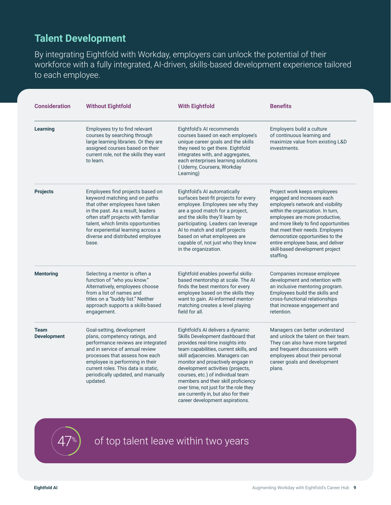### **Talent Development**

By integrating Eightfold with Workday, employers can unlock the potential of their workforce with a fully integrated, AI-driven, skills-based development experience tailored to each employee.

| <b>Consideration</b>              | <b>Without Eightfold</b>                                                                                                                                                                                                                                                                                                                                                                                                                                                                                                                                                                                                                                                                                                                                                | <b>With Eightfold</b>                                                                                                                                                                                                                                                                                                                                | <b>Benefits</b><br>Employers build a culture<br>of continuous learning and<br>maximize value from existing L&D<br>investments.                                                                                                                                                                                                                                               |  |
|-----------------------------------|-------------------------------------------------------------------------------------------------------------------------------------------------------------------------------------------------------------------------------------------------------------------------------------------------------------------------------------------------------------------------------------------------------------------------------------------------------------------------------------------------------------------------------------------------------------------------------------------------------------------------------------------------------------------------------------------------------------------------------------------------------------------------|------------------------------------------------------------------------------------------------------------------------------------------------------------------------------------------------------------------------------------------------------------------------------------------------------------------------------------------------------|------------------------------------------------------------------------------------------------------------------------------------------------------------------------------------------------------------------------------------------------------------------------------------------------------------------------------------------------------------------------------|--|
| <b>Learning</b>                   | Employees try to find relevant<br>courses by searching through<br>large learning libraries. Or they are<br>assigned courses based on their<br>current role, not the skills they want<br>to learn.                                                                                                                                                                                                                                                                                                                                                                                                                                                                                                                                                                       | Eightfold's AI recommends<br>courses based on each employee's<br>unique career goals and the skills<br>they need to get there. Eightfold<br>integrates with, and aggregates,<br>each enterprises learning solutions<br>(Udemy, Coursera, Workday<br>Learning)                                                                                        |                                                                                                                                                                                                                                                                                                                                                                              |  |
| <b>Projects</b>                   | Employees find projects based on<br>keyword matching and on paths<br>that other employees have taken<br>in the past. As a result, leaders<br>often staff projects with familiar<br>talent, which limits opportunities<br>for experiential learning across a<br>diverse and distributed employee<br>base.                                                                                                                                                                                                                                                                                                                                                                                                                                                                | Eightfold's AI automatically<br>surfaces best-fit projects for every<br>employee. Employees see why they<br>are a good match for a project,<br>and the skills they'll learn by<br>participating. Leaders can leverage<br>AI to match and staff projects<br>based on what employees are<br>capable of, not just who they know<br>in the organization. | Project work keeps employees<br>engaged and increases each<br>employee's network and visibility<br>within the organization. In turn,<br>employees are more productive,<br>and more likely to find opportunities<br>that meet their needs. Employers<br>democratize opportunities to the<br>entire employee base, and deliver<br>skill-based development project<br>staffing. |  |
| <b>Mentoring</b>                  | Selecting a mentor is often a<br>function of "who you know."<br>Alternatively, employees choose<br>from a list of names and<br>titles on a "buddy list." Neither<br>approach supports a skills-based<br>engagement.                                                                                                                                                                                                                                                                                                                                                                                                                                                                                                                                                     | Eightfold enables powerful skills-<br>based mentorship at scale. The AI<br>finds the best mentors for every<br>employee based on the skills they<br>want to gain. Al-informed mentor-<br>matching creates a level playing<br>field for all.                                                                                                          | Companies increase employee<br>development and retention with<br>an inclusive mentoring program.<br>Employees build the skills and<br>cross-functional relationships<br>that increase engagement and<br>retention.                                                                                                                                                           |  |
| <b>Team</b><br><b>Development</b> | Goal-setting, development<br>Eightfold's AI delivers a dynamic<br>Skills Development dashboard that<br>plans, competency ratings, and<br>performance reviews are integrated<br>provides real-time insights into<br>and in service of annual review<br>team capabilities, current skills, and<br>skill adjacencies. Managers can<br>processes that assess how each<br>employee is performing in their<br>monitor and proactively engage in<br>current roles. This data is static,<br>development activities (projects,<br>periodically updated, and manually<br>courses, etc.) of individual team<br>members and their skill proficiency<br>updated.<br>over time, not just for the role they<br>are currently in, but also for their<br>career development aspirations. |                                                                                                                                                                                                                                                                                                                                                      | Managers can better understand<br>and unlock the talent on their team.<br>They can also have more targeted<br>and frequent discussions with<br>employees about their personal<br>career goals and development<br>plans.                                                                                                                                                      |  |

of top talent leave within two years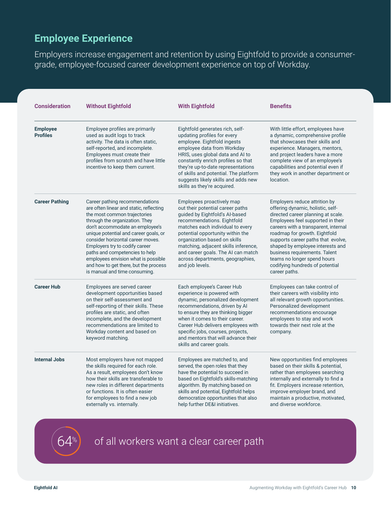### **Employee Experience**

Employers increase engagement and retention by using Eightfold to provide a consumergrade, employee-focused career development experience on top of Workday.

| <b>Consideration</b>               | <b>Without Eightfold</b>                                                                                                                                                                                                                                                                                                                                                                                                                          | <b>With Eightfold</b>                                                                                                                                                                                                                                                                                                                                                      | <b>Benefits</b><br>With little effort, employees have<br>a dynamic, comprehensive profile<br>that showcases their skills and<br>experience. Managers, mentors,<br>and project leaders have a more<br>complete view of an employee's<br>capabilities and potential even if<br>they work in another department or<br>location.                                                                                         |  |
|------------------------------------|---------------------------------------------------------------------------------------------------------------------------------------------------------------------------------------------------------------------------------------------------------------------------------------------------------------------------------------------------------------------------------------------------------------------------------------------------|----------------------------------------------------------------------------------------------------------------------------------------------------------------------------------------------------------------------------------------------------------------------------------------------------------------------------------------------------------------------------|----------------------------------------------------------------------------------------------------------------------------------------------------------------------------------------------------------------------------------------------------------------------------------------------------------------------------------------------------------------------------------------------------------------------|--|
| <b>Employee</b><br><b>Profiles</b> | Employee profiles are primarily<br>used as audit logs to track<br>activity. The data is often static,<br>self-reported, and incomplete.<br>Employees must create their<br>profiles from scratch and have little<br>incentive to keep them current.                                                                                                                                                                                                | Eightfold generates rich, self-<br>updating profiles for every<br>employee. Eightfold ingests<br>employee data from Workday<br>HRIS, uses global data and AI to<br>constantly enrich profiles so that<br>they're up-to-date representations<br>of skills and potential. The platform<br>suggests likely skills and adds new<br>skills as they're acquired.                 |                                                                                                                                                                                                                                                                                                                                                                                                                      |  |
| <b>Career Pathing</b>              | Career pathing recommendations<br>are often linear and static, reflecting<br>the most common trajectories<br>through the organization. They<br>don't accommodate an employee's<br>unique potential and career goals, or<br>consider horizontal career moves.<br>Employers try to codify career<br>paths and competencies to help<br>employees envision what is possible<br>and how to get there, but the process<br>is manual and time consuming. | Employees proactively map<br>out their potential career paths<br>guided by Eightfold's Al-based<br>recommendations. Eightfold<br>matches each individual to every<br>potential opportunity within the<br>organization based on skills<br>matching, adjacent skills inference,<br>and career goals. The AI can match<br>across departments, geographies,<br>and job levels. | Employers reduce attrition by<br>offering dynamic, holistic, self-<br>directed career planning at scale.<br>Employees feel supported in their<br>careers with a transparent, internal<br>roadmap for growth. Eightfold<br>supports career paths that evolve,<br>shaped by employee interests and<br>business requirements. Talent<br>teams no longer spend hours<br>codifying hundreds of potential<br>career paths. |  |
| <b>Career Hub</b>                  | Employees are served career<br>development opportunities based<br>on their self-assessment and<br>self-reporting of their skills. These<br>profiles are static, and often<br>incomplete, and the development<br>recommendations are limited to<br>Workday content and based on<br>keyword matching.                                                                                                                                               | Each employee's Career Hub<br>experience is powered with<br>dynamic, personalized development<br>recommendations, driven by Al<br>to ensure they are thinking bigger<br>when it comes to their career.<br>Career Hub delivers employees with<br>specific jobs, courses, projects,<br>and mentors that will advance their<br>skills and career goals.                       | Employees can take control of<br>their careers with visibility into<br>all relevant growth opportunities.<br>Personalized development<br>recommendations encourage<br>employees to stay and work<br>towards their next role at the<br>company.                                                                                                                                                                       |  |
| <b>Internal Jobs</b>               | Most employers have not mapped<br>the skills required for each role.<br>As a result, employees don't know<br>how their skills are transferable to<br>new roles in different departments<br>or functions. It is often easier<br>for employees to find a new job<br>externally vs. internally.                                                                                                                                                      | Employees are matched to, and<br>served, the open roles that they<br>have the potential to succeed in<br>based on Eightfold's skills-matching<br>algorithm. By matching based on<br>skills and potential, Eightfold helps<br>democratize opportunities that also<br>help further DE&I initiatives.                                                                         | New opportunities find employees<br>based on their skills & potential,<br>rather than employees searching<br>internally and externally to find a<br>fit. Employers increase retention,<br>improve employer brand, and<br>maintain a productive, motivated,<br>and diverse workforce.                                                                                                                                 |  |

 $\ket{64^\ast}$  of all workers want a clear career path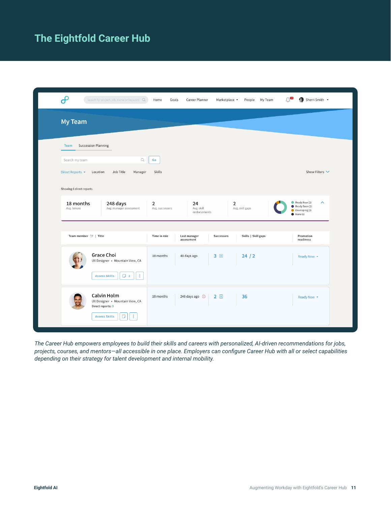# **The Eightfold Career Hub**

| $\boldsymbol{\theta}$<br>Search for project, job, name or keyword $Q$                                             | Home<br>Goals        | Career Planner                   | Marketplace -                     | $\bigcap$<br>People My Team | Sherri Smith +                                                                                   |
|-------------------------------------------------------------------------------------------------------------------|----------------------|----------------------------------|-----------------------------------|-----------------------------|--------------------------------------------------------------------------------------------------|
| My Team                                                                                                           |                      |                                  |                                   |                             |                                                                                                  |
| <b>Succession Planning</b><br><b>Team</b><br>$\hbox{\ensuremath{\mathsf{Q}}}$<br>Search my team                   | Go                   |                                  |                                   |                             |                                                                                                  |
| Job Title<br>Direct Reports ▼<br>Location<br>Manager<br>Showing 6 direct reports                                  | Skills               |                                  |                                   |                             | Show Filters V                                                                                   |
| 18 months<br>248 days<br>Avg. tenure<br>Avg. manager assessment                                                   | 2<br>Avg. successors | 24<br>Avg. skill<br>endorsements | $\overline{2}$<br>Avg. skill gaps |                             | Ready Now (1)<br>$\boldsymbol{\wedge}$<br>Ready Soon (2)<br>Developing (2)<br>$\bullet$ None (1) |
| Team member $\uparrow \equiv$   Title                                                                             | Time in role         | Last manager<br>assessment       | Skills   Skill gaps<br>Successors |                             | Promotion<br>readiness                                                                           |
| <b>Grace Choi</b><br>UX Designer • Mountain View, CA<br>÷.<br>$\Box$ 2<br><b>Assess Skills</b>                    | 18 months            | 48 days ago                      | 3 田<br>24/2                       |                             | Ready Now *                                                                                      |
| <b>Calvin Holm</b><br>UX Designer • Mountain View, CA<br>Direct reports: 3<br>÷<br>$\Box$<br><b>Assess Skills</b> | 18 months            | 248 days ago (D                  | 2E<br>36                          |                             | Ready Now *                                                                                      |

*The Career Hub empowers employees to build their skills and careers with personalized, AI-driven recommendations for jobs, projects, courses, and mentors—all accessible in one place. Employers can configure Career Hub with all or select capabilities depending on their strategy for talent development and internal mobility.*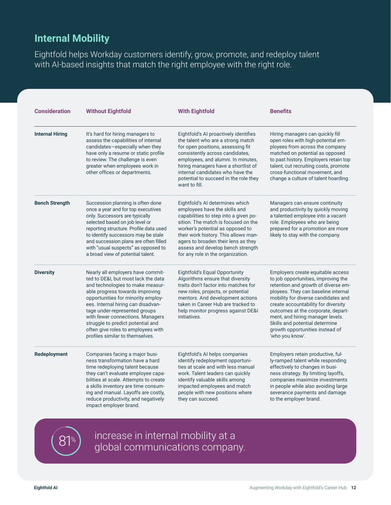### **Internal Mobility**

Eightfold helps Workday customers identify, grow, promote, and redeploy talent with AI-based insights that match the right employee with the right role.

| <b>Consideration</b>   | <b>Without Eightfold</b>                                                                                                                                                                                                                                                                                                                                                                                       | <b>With Eightfold</b>                                                                                                                                                                                                                                                                                                                         | <b>Benefits</b><br>Hiring managers can quickly fill<br>open roles with high-potential em-<br>ployees from across the company<br>matched on potential as opposed<br>to past history. Employers retain top<br>talent, cut recruiting costs, promote<br>cross-functional movement, and<br>change a culture of talent hoarding.                                                                            |  |
|------------------------|----------------------------------------------------------------------------------------------------------------------------------------------------------------------------------------------------------------------------------------------------------------------------------------------------------------------------------------------------------------------------------------------------------------|-----------------------------------------------------------------------------------------------------------------------------------------------------------------------------------------------------------------------------------------------------------------------------------------------------------------------------------------------|--------------------------------------------------------------------------------------------------------------------------------------------------------------------------------------------------------------------------------------------------------------------------------------------------------------------------------------------------------------------------------------------------------|--|
| <b>Internal Hiring</b> | It's hard for hiring managers to<br>assess the capabilities of internal<br>candidates-especially when they<br>have only a resume or static profile<br>to review. The challenge is even<br>greater when employees work in<br>other offices or departments.                                                                                                                                                      | Eightfold's AI proactively identifies<br>the talent who are a strong match<br>for open positions, assessing fit<br>consistently across candidates,<br>employees, and alumni. In minutes,<br>hiring managers have a shortlist of<br>internal candidates who have the<br>potential to succeed in the role they<br>want to fill.                 |                                                                                                                                                                                                                                                                                                                                                                                                        |  |
| <b>Bench Strength</b>  | Succession planning is often done<br>once a year and for top executives<br>only. Successors are typically<br>selected based on job level or<br>reporting structure. Profile data used<br>to identify successors may be stale<br>and succession plans are often filled<br>with "usual suspects" as opposed to<br>a broad view of potential talent.                                                              | Eightfold's AI determines which<br>employees have the skills and<br>capabilities to step into a given po-<br>sition. The match is focused on the<br>worker's potential as opposed to<br>their work history. This allows man-<br>agers to broaden their lens as they<br>assess and develop bench strength<br>for any role in the organization. | Managers can ensure continuity<br>and productivity by quickly moving<br>a talented employee into a vacant<br>role. Employees who are being<br>prepared for a promotion are more<br>likely to stay with the company.                                                                                                                                                                                    |  |
| <b>Diversity</b>       | Nearly all employers have commit-<br>ted to DE&I, but most lack the data<br>and technologies to make measur-<br>able progress towards improving<br>opportunities for minority employ-<br>ees. Internal hiring can disadvan-<br>tage under-represented groups<br>with fewer connections. Managers<br>struggle to predict potential and<br>often give roles to employees with<br>profiles similar to themselves. | Eightfold's Equal Opportunity<br>Algorithms ensure that diversity<br>traits don't factor into matches for<br>new roles, projects, or potential<br>mentors. And development actions<br>taken in Career Hub are tracked to<br>help monitor progress against DE&I<br>initiatives.                                                                | Employers create equitable access<br>to job opportunities, improving the<br>retention and growth of diverse em-<br>ployees. They can baseline internal<br>mobility for diverse candidates and<br>create accountability for diversity<br>outcomes at the corporate, depart-<br>ment, and hiring manager levels.<br>Skills and potential determine<br>growth opportunities instead of<br>'who you know'. |  |
| Redeployment           | Companies facing a major busi-<br>ness transformation have a hard<br>time redeploying talent because<br>they can't evaluate employee capa-<br>bilities at scale. Attempts to create<br>a skills inventory are time consum-<br>ing and manual. Layoffs are costly,<br>reduce productivity, and negatively<br>impact employer brand.                                                                             | Eightfold's AI helps companies<br>identify redeployment opportuni-<br>ties at scale and with less manual<br>work. Talent leaders can quickly<br>identify valuable skills among<br>impacted employees and match<br>people with new positions where<br>they can succeed.                                                                        | Employers retain productive, ful-<br>ly-ramped talent while responding<br>effectively to changes in busi-<br>ness strategy. By limiting layoffs,<br>companies maximize investments<br>in people while also avoiding large<br>severance payments and damage<br>to the employer brand.                                                                                                                   |  |



increase in internal mobility at a global communications company.